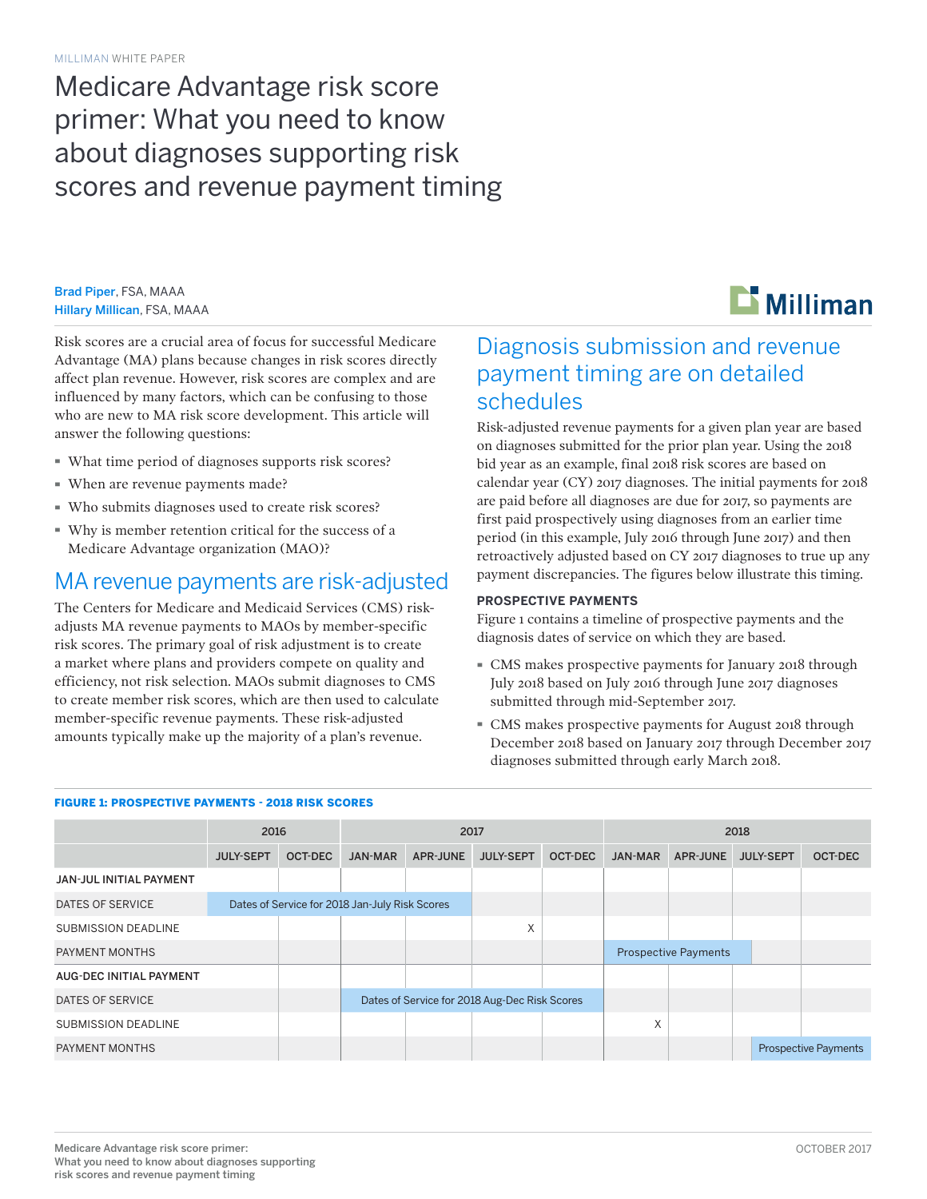# Medicare Advantage risk score primer: What you need to know about diagnoses supporting risk scores and revenue payment timing

Brad Piper, FSA, MAAA Hillary Millican, FSA, MAAA



Risk scores are a crucial area of focus for successful Medicare Advantage (MA) plans because changes in risk scores directly affect plan revenue. However, risk scores are complex and are influenced by many factors, which can be confusing to those who are new to MA risk score development. This article will answer the following questions:

- · What time period of diagnoses supports risk scores?
- · When are revenue payments made?
- · Who submits diagnoses used to create risk scores?
- · Why is member retention critical for the success of a Medicare Advantage organization (MAO)?

### MA revenue payments are risk-adjusted

The Centers for Medicare and Medicaid Services (CMS) riskadjusts MA revenue payments to MAOs by member-specific risk scores. The primary goal of risk adjustment is to create a market where plans and providers compete on quality and efficiency, not risk selection. MAOs submit diagnoses to CMS to create member risk scores, which are then used to calculate member-specific revenue payments. These risk-adjusted amounts typically make up the majority of a plan's revenue.

# Diagnosis submission and revenue payment timing are on detailed schedules

Risk-adjusted revenue payments for a given plan year are based on diagnoses submitted for the prior plan year. Using the 2018 bid year as an example, final 2018 risk scores are based on calendar year (CY) 2017 diagnoses. The initial payments for 2018 are paid before all diagnoses are due for 2017, so payments are first paid prospectively using diagnoses from an earlier time period (in this example, July 2016 through June 2017) and then retroactively adjusted based on CY 2017 diagnoses to true up any payment discrepancies. The figures below illustrate this timing.

### **PROSPECTIVE PAYMENTS**

Figure 1 contains a timeline of prospective payments and the diagnosis dates of service on which they are based.

- · CMS makes prospective payments for January 2018 through July 2018 based on July 2016 through June 2017 diagnoses submitted through mid-September 2017.
- · CMS makes prospective payments for August 2018 through December 2018 based on January 2017 through December 2017 diagnoses submitted through early March 2018.

|                                | 2016                                           |                |                                               | 2017            |                  |         | 2018           |                             |                  |                             |  |
|--------------------------------|------------------------------------------------|----------------|-----------------------------------------------|-----------------|------------------|---------|----------------|-----------------------------|------------------|-----------------------------|--|
|                                | <b>JULY-SEPT</b>                               | <b>OCT-DEC</b> | <b>JAN-MAR</b>                                | <b>APR-JUNE</b> | <b>JULY-SEPT</b> | OCT-DEC | <b>JAN-MAR</b> | <b>APR-JUNE</b>             | <b>JULY-SEPT</b> | <b>OCT-DEC</b>              |  |
| <b>JAN-JUL INITIAL PAYMENT</b> |                                                |                |                                               |                 |                  |         |                |                             |                  |                             |  |
| DATES OF SERVICE               | Dates of Service for 2018 Jan-July Risk Scores |                |                                               |                 |                  |         |                |                             |                  |                             |  |
| <b>SUBMISSION DEADLINE</b>     |                                                |                |                                               |                 | X                |         |                |                             |                  |                             |  |
| PAYMENT MONTHS                 |                                                |                |                                               |                 |                  |         |                | <b>Prospective Payments</b> |                  |                             |  |
| AUG-DEC INITIAL PAYMENT        |                                                |                |                                               |                 |                  |         |                |                             |                  |                             |  |
| DATES OF SERVICE               |                                                |                | Dates of Service for 2018 Aug-Dec Risk Scores |                 |                  |         |                |                             |                  |                             |  |
| <b>SUBMISSION DEADLINE</b>     |                                                |                |                                               |                 |                  |         | X              |                             |                  |                             |  |
| PAYMENT MONTHS                 |                                                |                |                                               |                 |                  |         |                |                             |                  | <b>Prospective Payments</b> |  |

### FIGURE 1: PROSPECTIVE PAYMENTS - 2018 RISK SCORES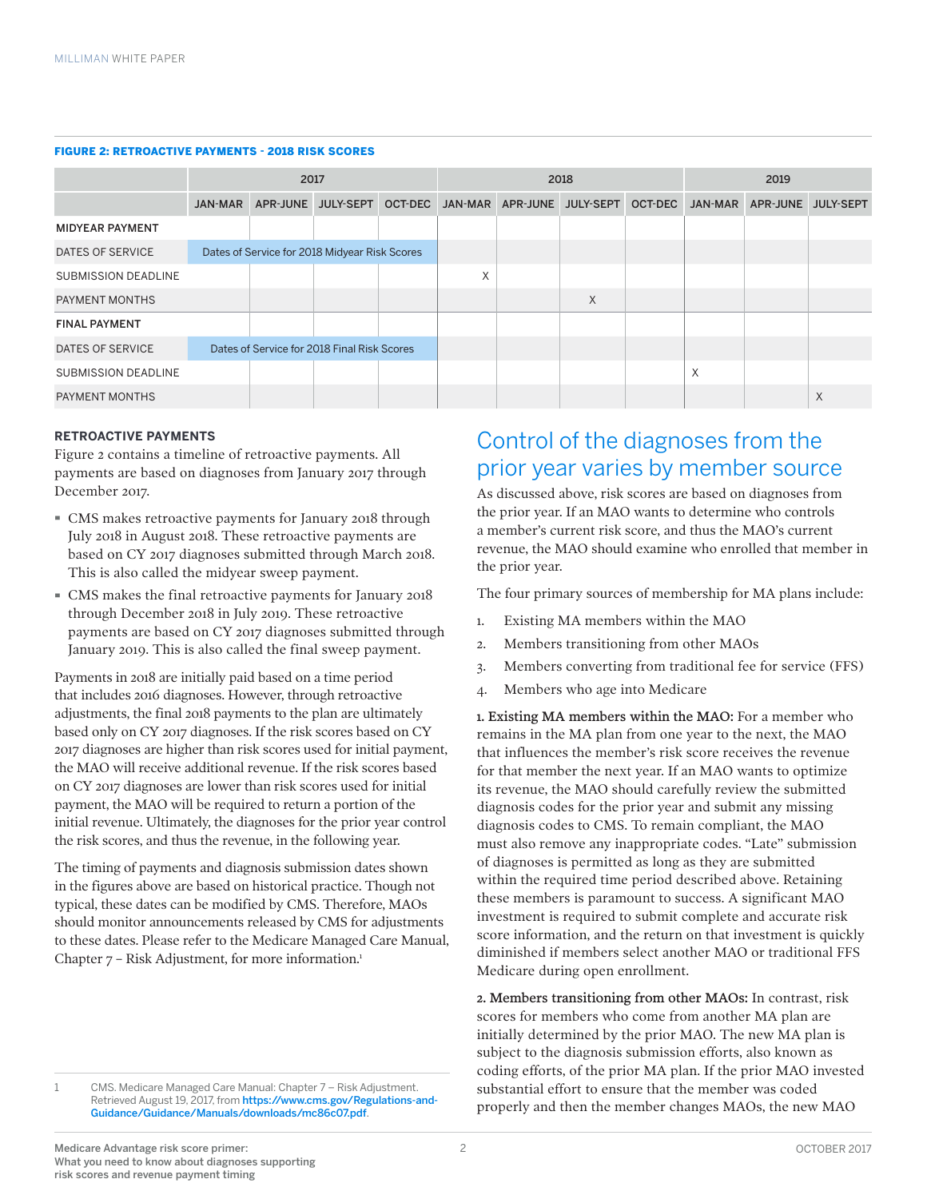#### FIGURE 2: RETROACTIVE PAYMENTS - 2018 RISK SCORES

|                            | 2017                                        |  |                                               |  | 2018 |          |           |         | 2019    |          |                  |
|----------------------------|---------------------------------------------|--|-----------------------------------------------|--|------|----------|-----------|---------|---------|----------|------------------|
|                            | <b>JAN-MAR</b>                              |  | APR-JUNE JULY-SEPT OCT-DEC JAN-MAR            |  |      | APR-JUNE | JULY-SEPT | OCT-DEC | JAN-MAR | APR-JUNE | <b>JULY-SEPT</b> |
| <b>MIDYEAR PAYMENT</b>     |                                             |  |                                               |  |      |          |           |         |         |          |                  |
| DATES OF SERVICE           |                                             |  | Dates of Service for 2018 Midyear Risk Scores |  |      |          |           |         |         |          |                  |
| <b>SUBMISSION DEADLINE</b> |                                             |  |                                               |  | X    |          |           |         |         |          |                  |
| PAYMENT MONTHS             |                                             |  |                                               |  |      |          | X         |         |         |          |                  |
| <b>FINAL PAYMENT</b>       |                                             |  |                                               |  |      |          |           |         |         |          |                  |
| <b>DATES OF SERVICE</b>    | Dates of Service for 2018 Final Risk Scores |  |                                               |  |      |          |           |         |         |          |                  |
| <b>SUBMISSION DEADLINE</b> |                                             |  |                                               |  |      |          |           |         | X       |          |                  |
| PAYMENT MONTHS             |                                             |  |                                               |  |      |          |           |         |         |          | X                |

### **RETROACTIVE PAYMENTS**

Figure 2 contains a timeline of retroactive payments. All payments are based on diagnoses from January 2017 through December 2017.

- · CMS makes retroactive payments for January 2018 through July 2018 in August 2018. These retroactive payments are based on CY 2017 diagnoses submitted through March 2018. This is also called the midyear sweep payment.
- · CMS makes the final retroactive payments for January 2018 through December 2018 in July 2019. These retroactive payments are based on CY 2017 diagnoses submitted through January 2019. This is also called the final sweep payment.

Payments in 2018 are initially paid based on a time period that includes 2016 diagnoses. However, through retroactive adjustments, the final 2018 payments to the plan are ultimately based only on CY 2017 diagnoses. If the risk scores based on CY 2017 diagnoses are higher than risk scores used for initial payment, the MAO will receive additional revenue. If the risk scores based on CY 2017 diagnoses are lower than risk scores used for initial payment, the MAO will be required to return a portion of the initial revenue. Ultimately, the diagnoses for the prior year control the risk scores, and thus the revenue, in the following year.

The timing of payments and diagnosis submission dates shown in the figures above are based on historical practice. Though not typical, these dates can be modified by CMS. Therefore, MAOs should monitor announcements released by CMS for adjustments to these dates. Please refer to the Medicare Managed Care Manual, Chapter 7 – Risk Adjustment, for more information.<sup>1</sup>

1 CMS. Medicare Managed Care Manual: Chapter 7 – Risk Adjustment. Retrieved August 19, 2017, from [https://www.cms.gov/Regulations-and-](https://www.cms.gov/Regulations-and-Guidance/Guidance/Manuals/downloads/mc86c07.pdf)[Guidance/Guidance/Manuals/downloads/mc86c07.pdf](https://www.cms.gov/Regulations-and-Guidance/Guidance/Manuals/downloads/mc86c07.pdf).

# Control of the diagnoses from the prior year varies by member source

As discussed above, risk scores are based on diagnoses from the prior year. If an MAO wants to determine who controls a member's current risk score, and thus the MAO's current revenue, the MAO should examine who enrolled that member in the prior year.

The four primary sources of membership for MA plans include:

- 1. Existing MA members within the MAO
- 2. Members transitioning from other MAOs
- 3. Members converting from traditional fee for service (FFS)
- 4. Members who age into Medicare

1. Existing MA members within the MAO: For a member who remains in the MA plan from one year to the next, the MAO that influences the member's risk score receives the revenue for that member the next year. If an MAO wants to optimize its revenue, the MAO should carefully review the submitted diagnosis codes for the prior year and submit any missing diagnosis codes to CMS. To remain compliant, the MAO must also remove any inappropriate codes. "Late" submission of diagnoses is permitted as long as they are submitted within the required time period described above. Retaining these members is paramount to success. A significant MAO investment is required to submit complete and accurate risk score information, and the return on that investment is quickly diminished if members select another MAO or traditional FFS Medicare during open enrollment.

2. Members transitioning from other MAOs: In contrast, risk scores for members who come from another MA plan are initially determined by the prior MAO. The new MA plan is subject to the diagnosis submission efforts, also known as coding efforts, of the prior MA plan. If the prior MAO invested substantial effort to ensure that the member was coded properly and then the member changes MAOs, the new MAO